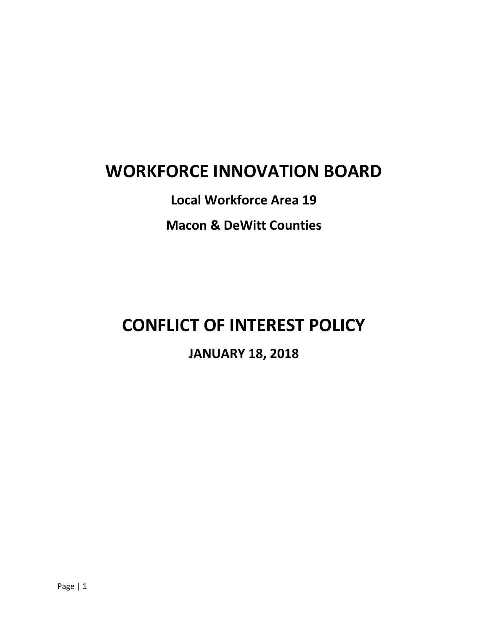## **WORKFORCE INNOVATION BOARD**

**Local Workforce Area 19 Macon & DeWitt Counties**

# **CONFLICT OF INTEREST POLICY**

**JANUARY 18, 2018**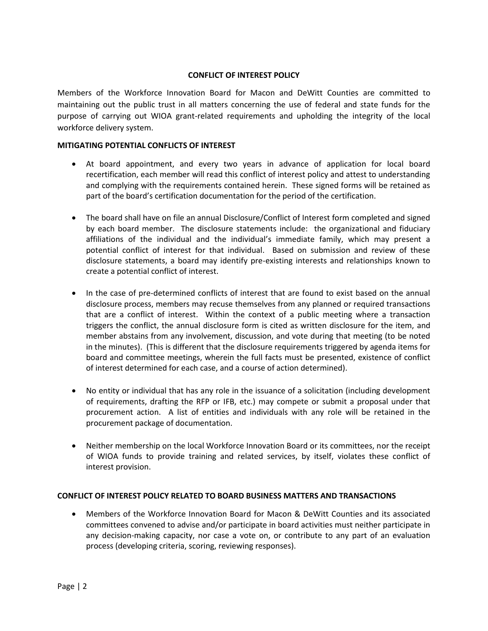#### **CONFLICT OF INTEREST POLICY**

Members of the Workforce Innovation Board for Macon and DeWitt Counties are committed to maintaining out the public trust in all matters concerning the use of federal and state funds for the purpose of carrying out WIOA grant-related requirements and upholding the integrity of the local workforce delivery system.

#### **MITIGATING POTENTIAL CONFLICTS OF INTEREST**

- At board appointment, and every two years in advance of application for local board recertification, each member will read this conflict of interest policy and attest to understanding and complying with the requirements contained herein. These signed forms will be retained as part of the board's certification documentation for the period of the certification.
- The board shall have on file an annual Disclosure/Conflict of Interest form completed and signed by each board member. The disclosure statements include: the organizational and fiduciary affiliations of the individual and the individual's immediate family, which may present a potential conflict of interest for that individual. Based on submission and review of these disclosure statements, a board may identify pre-existing interests and relationships known to create a potential conflict of interest.
- In the case of pre-determined conflicts of interest that are found to exist based on the annual disclosure process, members may recuse themselves from any planned or required transactions that are a conflict of interest. Within the context of a public meeting where a transaction triggers the conflict, the annual disclosure form is cited as written disclosure for the item, and member abstains from any involvement, discussion, and vote during that meeting (to be noted in the minutes). (This is different that the disclosure requirements triggered by agenda items for board and committee meetings, wherein the full facts must be presented, existence of conflict of interest determined for each case, and a course of action determined).
- No entity or individual that has any role in the issuance of a solicitation (including development of requirements, drafting the RFP or IFB, etc.) may compete or submit a proposal under that procurement action. A list of entities and individuals with any role will be retained in the procurement package of documentation.
- Neither membership on the local Workforce Innovation Board or its committees, nor the receipt of WIOA funds to provide training and related services, by itself, violates these conflict of interest provision.

#### **CONFLICT OF INTEREST POLICY RELATED TO BOARD BUSINESS MATTERS AND TRANSACTIONS**

• Members of the Workforce Innovation Board for Macon & DeWitt Counties and its associated committees convened to advise and/or participate in board activities must neither participate in any decision-making capacity, nor case a vote on, or contribute to any part of an evaluation process (developing criteria, scoring, reviewing responses).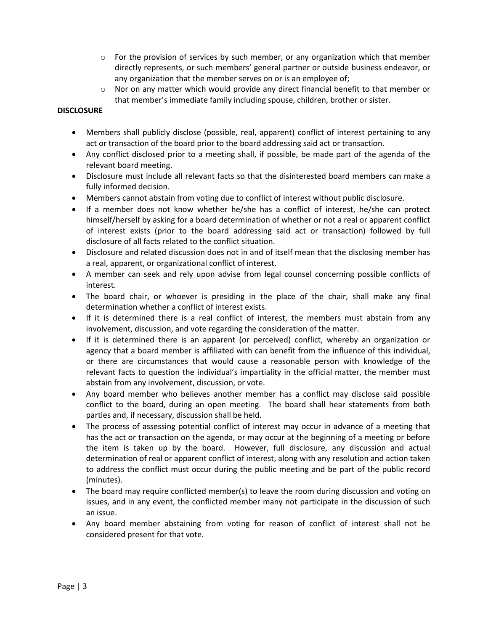- $\circ$  For the provision of services by such member, or any organization which that member directly represents, or such members' general partner or outside business endeavor, or any organization that the member serves on or is an employee of;
- $\circ$  Nor on any matter which would provide any direct financial benefit to that member or that member's immediate family including spouse, children, brother or sister.

### **DISCLOSURE**

- Members shall publicly disclose (possible, real, apparent) conflict of interest pertaining to any act or transaction of the board prior to the board addressing said act or transaction.
- Any conflict disclosed prior to a meeting shall, if possible, be made part of the agenda of the relevant board meeting.
- Disclosure must include all relevant facts so that the disinterested board members can make a fully informed decision.
- Members cannot abstain from voting due to conflict of interest without public disclosure.
- If a member does not know whether he/she has a conflict of interest, he/she can protect himself/herself by asking for a board determination of whether or not a real or apparent conflict of interest exists (prior to the board addressing said act or transaction) followed by full disclosure of all facts related to the conflict situation.
- Disclosure and related discussion does not in and of itself mean that the disclosing member has a real, apparent, or organizational conflict of interest.
- A member can seek and rely upon advise from legal counsel concerning possible conflicts of interest.
- The board chair, or whoever is presiding in the place of the chair, shall make any final determination whether a conflict of interest exists.
- If it is determined there is a real conflict of interest, the members must abstain from any involvement, discussion, and vote regarding the consideration of the matter.
- If it is determined there is an apparent (or perceived) conflict, whereby an organization or agency that a board member is affiliated with can benefit from the influence of this individual, or there are circumstances that would cause a reasonable person with knowledge of the relevant facts to question the individual's impartiality in the official matter, the member must abstain from any involvement, discussion, or vote.
- Any board member who believes another member has a conflict may disclose said possible conflict to the board, during an open meeting. The board shall hear statements from both parties and, if necessary, discussion shall be held.
- The process of assessing potential conflict of interest may occur in advance of a meeting that has the act or transaction on the agenda, or may occur at the beginning of a meeting or before the item is taken up by the board. However, full disclosure, any discussion and actual determination of real or apparent conflict of interest, along with any resolution and action taken to address the conflict must occur during the public meeting and be part of the public record (minutes).
- The board may require conflicted member(s) to leave the room during discussion and voting on issues, and in any event, the conflicted member many not participate in the discussion of such an issue.
- Any board member abstaining from voting for reason of conflict of interest shall not be considered present for that vote.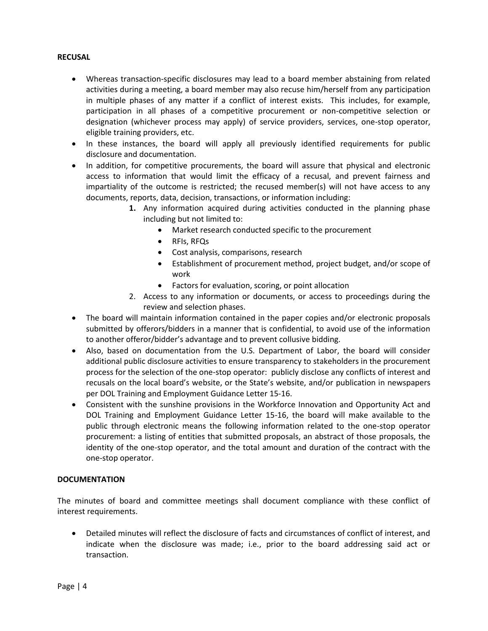#### **RECUSAL**

- Whereas transaction-specific disclosures may lead to a board member abstaining from related activities during a meeting, a board member may also recuse him/herself from any participation in multiple phases of any matter if a conflict of interest exists. This includes, for example, participation in all phases of a competitive procurement or non-competitive selection or designation (whichever process may apply) of service providers, services, one-stop operator, eligible training providers, etc.
- In these instances, the board will apply all previously identified requirements for public disclosure and documentation.
- In addition, for competitive procurements, the board will assure that physical and electronic access to information that would limit the efficacy of a recusal, and prevent fairness and impartiality of the outcome is restricted; the recused member(s) will not have access to any documents, reports, data, decision, transactions, or information including:
	- **1.** Any information acquired during activities conducted in the planning phase including but not limited to:
		- Market research conducted specific to the procurement
		- RFIs, RFQs
		- Cost analysis, comparisons, research
		- Establishment of procurement method, project budget, and/or scope of work
		- Factors for evaluation, scoring, or point allocation
	- 2. Access to any information or documents, or access to proceedings during the review and selection phases.
- The board will maintain information contained in the paper copies and/or electronic proposals submitted by offerors/bidders in a manner that is confidential, to avoid use of the information to another offeror/bidder's advantage and to prevent collusive bidding.
- Also, based on documentation from the U.S. Department of Labor, the board will consider additional public disclosure activities to ensure transparency to stakeholders in the procurement process for the selection of the one-stop operator: publicly disclose any conflicts of interest and recusals on the local board's website, or the State's website, and/or publication in newspapers per DOL Training and Employment Guidance Letter 15-16.
- Consistent with the sunshine provisions in the Workforce Innovation and Opportunity Act and DOL Training and Employment Guidance Letter 15-16, the board will make available to the public through electronic means the following information related to the one-stop operator procurement: a listing of entities that submitted proposals, an abstract of those proposals, the identity of the one-stop operator, and the total amount and duration of the contract with the one-stop operator.

#### **DOCUMENTATION**

The minutes of board and committee meetings shall document compliance with these conflict of interest requirements.

• Detailed minutes will reflect the disclosure of facts and circumstances of conflict of interest, and indicate when the disclosure was made; i.e., prior to the board addressing said act or transaction.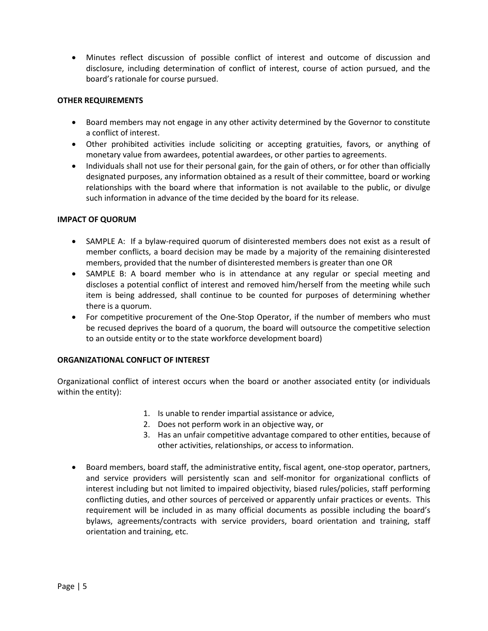• Minutes reflect discussion of possible conflict of interest and outcome of discussion and disclosure, including determination of conflict of interest, course of action pursued, and the board's rationale for course pursued.

#### **OTHER REQUIREMENTS**

- Board members may not engage in any other activity determined by the Governor to constitute a conflict of interest.
- Other prohibited activities include soliciting or accepting gratuities, favors, or anything of monetary value from awardees, potential awardees, or other parties to agreements.
- Individuals shall not use for their personal gain, for the gain of others, or for other than officially designated purposes, any information obtained as a result of their committee, board or working relationships with the board where that information is not available to the public, or divulge such information in advance of the time decided by the board for its release.

#### **IMPACT OF QUORUM**

- SAMPLE A: If a bylaw-required quorum of disinterested members does not exist as a result of member conflicts, a board decision may be made by a majority of the remaining disinterested members, provided that the number of disinterested members is greater than one OR
- SAMPLE B: A board member who is in attendance at any regular or special meeting and discloses a potential conflict of interest and removed him/herself from the meeting while such item is being addressed, shall continue to be counted for purposes of determining whether there is a quorum.
- For competitive procurement of the One-Stop Operator, if the number of members who must be recused deprives the board of a quorum, the board will outsource the competitive selection to an outside entity or to the state workforce development board)

#### **ORGANIZATIONAL CONFLICT OF INTEREST**

Organizational conflict of interest occurs when the board or another associated entity (or individuals within the entity):

- 1. Is unable to render impartial assistance or advice,
- 2. Does not perform work in an objective way, or
- 3. Has an unfair competitive advantage compared to other entities, because of other activities, relationships, or access to information.
- Board members, board staff, the administrative entity, fiscal agent, one-stop operator, partners, and service providers will persistently scan and self-monitor for organizational conflicts of interest including but not limited to impaired objectivity, biased rules/policies, staff performing conflicting duties, and other sources of perceived or apparently unfair practices or events. This requirement will be included in as many official documents as possible including the board's bylaws, agreements/contracts with service providers, board orientation and training, staff orientation and training, etc.